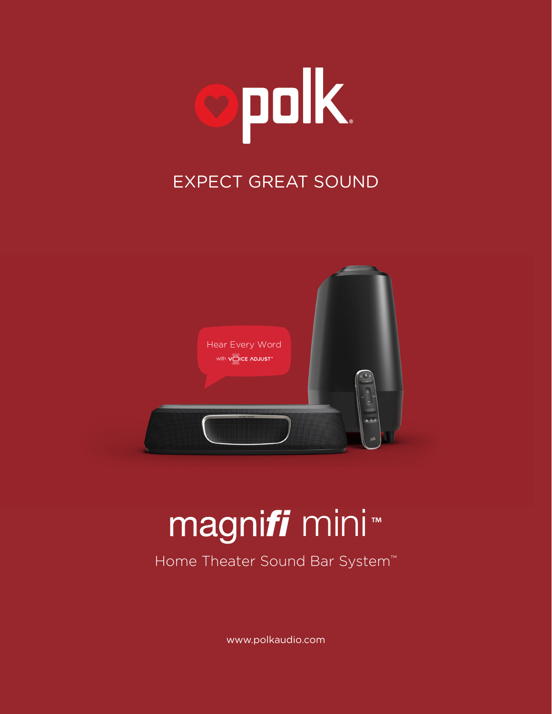

## EXPECT GREAT SOUND



# magni*fi* mini™

Home Theater Sound Bar System<sup>™</sup>

www.polkaudio.com